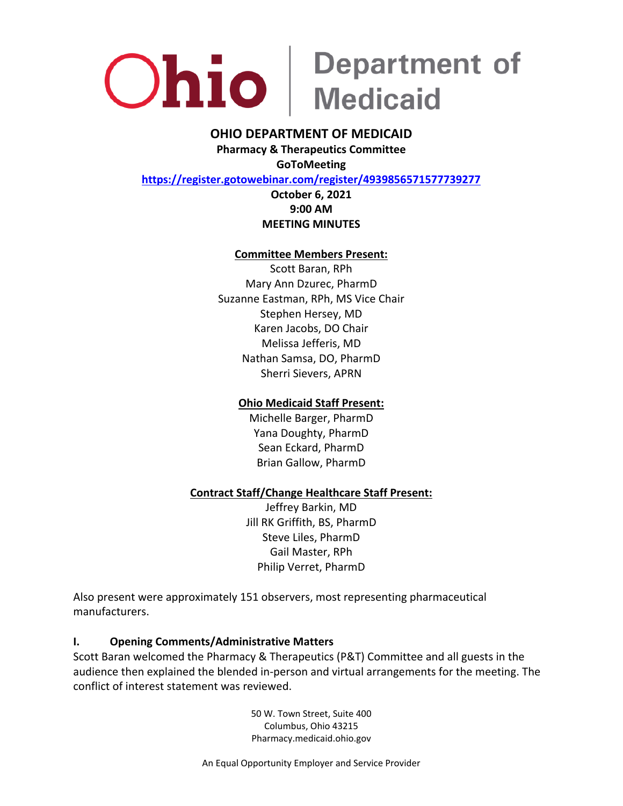

### **OHIO DEPARTMENT OF MEDICAID**

**Pharmacy & Therapeutics Committee GoToMeeting**

**<https://register.gotowebinar.com/register/4939856571577739277>**

### **October 6, 2021 9:00 AM MEETING MINUTES**

#### **Committee Members Present:**

Scott Baran, RPh Mary Ann Dzurec, PharmD Suzanne Eastman, RPh, MS Vice Chair Stephen Hersey, MD Karen Jacobs, DO Chair Melissa Jefferis, MD Nathan Samsa, DO, PharmD Sherri Sievers, APRN

### **Ohio Medicaid Staff Present:**

Michelle Barger, PharmD Yana Doughty, PharmD Sean Eckard, PharmD Brian Gallow, PharmD

#### **Contract Staff/Change Healthcare Staff Present:**

Jeffrey Barkin, MD Jill RK Griffith, BS, PharmD Steve Liles, PharmD Gail Master, RPh Philip Verret, PharmD

Also present were approximately 151 observers, most representing pharmaceutical manufacturers.

#### **I. Opening Comments/Administrative Matters**

Scott Baran welcomed the Pharmacy & Therapeutics (P&T) Committee and all guests in the audience then explained the blended in-person and virtual arrangements for the meeting. The conflict of interest statement was reviewed.

> 50 W. Town Street, Suite 400 Columbus, Ohio 43215 Pharmacy.medicaid.ohio.gov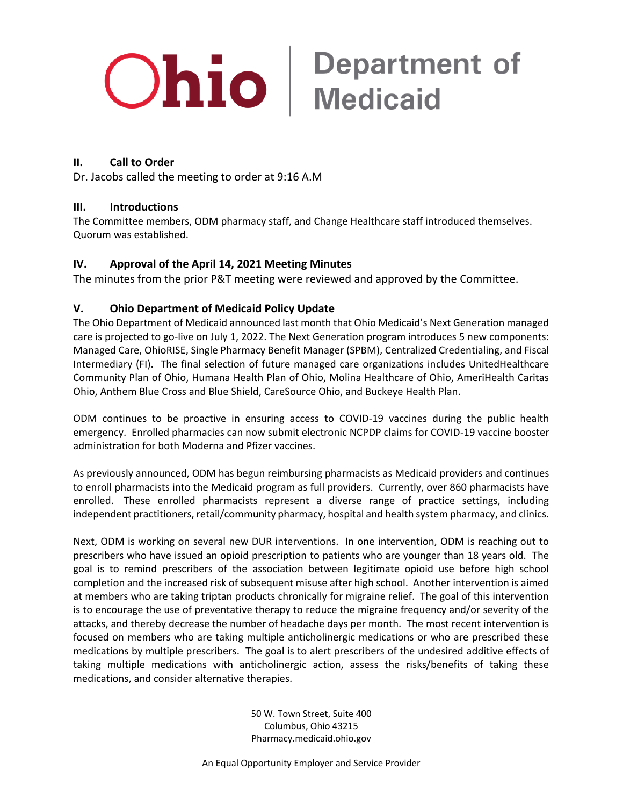#### **II. Call to Order**

Dr. Jacobs called the meeting to order at 9:16 A.M

#### **III. Introductions**

The Committee members, ODM pharmacy staff, and Change Healthcare staff introduced themselves. Quorum was established.

#### **IV. Approval of the April 14, 2021 Meeting Minutes**

The minutes from the prior P&T meeting were reviewed and approved by the Committee.

#### **V. Ohio Department of Medicaid Policy Update**

The Ohio Department of Medicaid announced last month that Ohio Medicaid's Next Generation managed care is projected to go-live on July 1, 2022. The Next Generation program introduces 5 new components: Managed Care, OhioRISE, Single Pharmacy Benefit Manager (SPBM), Centralized Credentialing, and Fiscal Intermediary (FI). The final selection of future managed care organizations includes UnitedHealthcare Community Plan of Ohio, Humana Health Plan of Ohio, Molina Healthcare of Ohio, AmeriHealth Caritas Ohio, Anthem Blue Cross and Blue Shield, CareSource Ohio, and Buckeye Health Plan.

ODM continues to be proactive in ensuring access to COVID-19 vaccines during the public health emergency. Enrolled pharmacies can now submit electronic NCPDP claims for COVID-19 vaccine booster administration for both Moderna and Pfizer vaccines.

As previously announced, ODM has begun reimbursing pharmacists as Medicaid providers and continues to enroll pharmacists into the Medicaid program as full providers. Currently, over 860 pharmacists have enrolled. These enrolled pharmacists represent a diverse range of practice settings, including independent practitioners, retail/community pharmacy, hospital and health system pharmacy, and clinics.

Next, ODM is working on several new DUR interventions. In one intervention, ODM is reaching out to prescribers who have issued an opioid prescription to patients who are younger than 18 years old. The goal is to remind prescribers of the association between legitimate opioid use before high school completion and the increased risk of subsequent misuse after high school. Another intervention is aimed at members who are taking triptan products chronically for migraine relief. The goal of this intervention is to encourage the use of preventative therapy to reduce the migraine frequency and/or severity of the attacks, and thereby decrease the number of headache days per month. The most recent intervention is focused on members who are taking multiple anticholinergic medications or who are prescribed these medications by multiple prescribers. The goal is to alert prescribers of the undesired additive effects of taking multiple medications with anticholinergic action, assess the risks/benefits of taking these medications, and consider alternative therapies.

> 50 W. Town Street, Suite 400 Columbus, Ohio 43215 Pharmacy.medicaid.ohio.gov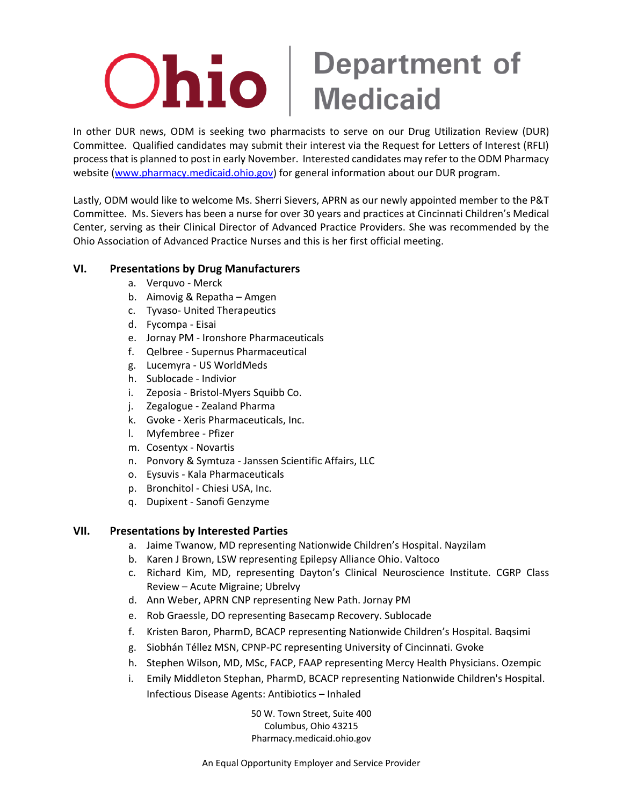In other DUR news, ODM is seeking two pharmacists to serve on our Drug Utilization Review (DUR) Committee. Qualified candidates may submit their interest via the Request for Letters of Interest (RFLI) process that is planned to post in early November. Interested candidates may refer to the ODM Pharmacy website [\(www.pharmacy.medicaid.ohio.gov\)](http://www.pharmacy.medicaid.ohio.gov/) for general information about our DUR program.

Lastly, ODM would like to welcome Ms. Sherri Sievers, APRN as our newly appointed member to the P&T Committee. Ms. Sievers has been a nurse for over 30 years and practices at Cincinnati Children's Medical Center, serving as their Clinical Director of Advanced Practice Providers. She was recommended by the Ohio Association of Advanced Practice Nurses and this is her first official meeting.

#### **VI. Presentations by Drug Manufacturers**

- a. Verquvo Merck
- b. Aimovig & Repatha Amgen
- c. Tyvaso- United Therapeutics
- d. Fycompa Eisai
- e. Jornay PM Ironshore Pharmaceuticals
- f. Qelbree Supernus Pharmaceutical
- g. Lucemyra US WorldMeds
- h. Sublocade Indivior
- i. Zeposia Bristol-Myers Squibb Co.
- j. Zegalogue Zealand Pharma
- k. Gvoke Xeris Pharmaceuticals, Inc.
- l. Myfembree Pfizer
- m. Cosentyx Novartis
- n. Ponvory & Symtuza Janssen Scientific Affairs, LLC
- o. Eysuvis Kala Pharmaceuticals
- p. Bronchitol Chiesi USA, Inc.
- q. Dupixent Sanofi Genzyme

#### **VII. Presentations by Interested Parties**

- a. Jaime Twanow, MD representing Nationwide Children's Hospital. Nayzilam
- b. Karen J Brown, LSW representing Epilepsy Alliance Ohio. Valtoco
- c. Richard Kim, MD, representing Dayton's Clinical Neuroscience Institute. CGRP Class Review – Acute Migraine; Ubrelvy
- d. Ann Weber, APRN CNP representing New Path. Jornay PM
- e. Rob Graessle, DO representing Basecamp Recovery. Sublocade
- f. Kristen Baron, PharmD, BCACP representing Nationwide Children's Hospital. Baqsimi
- g. Siobhán Téllez MSN, CPNP-PC representing University of Cincinnati. Gvoke
- h. Stephen Wilson, MD, MSc, FACP, FAAP representing Mercy Health Physicians. Ozempic
- i. Emily Middleton Stephan, PharmD, BCACP representing Nationwide Children's Hospital. Infectious Disease Agents: Antibiotics – Inhaled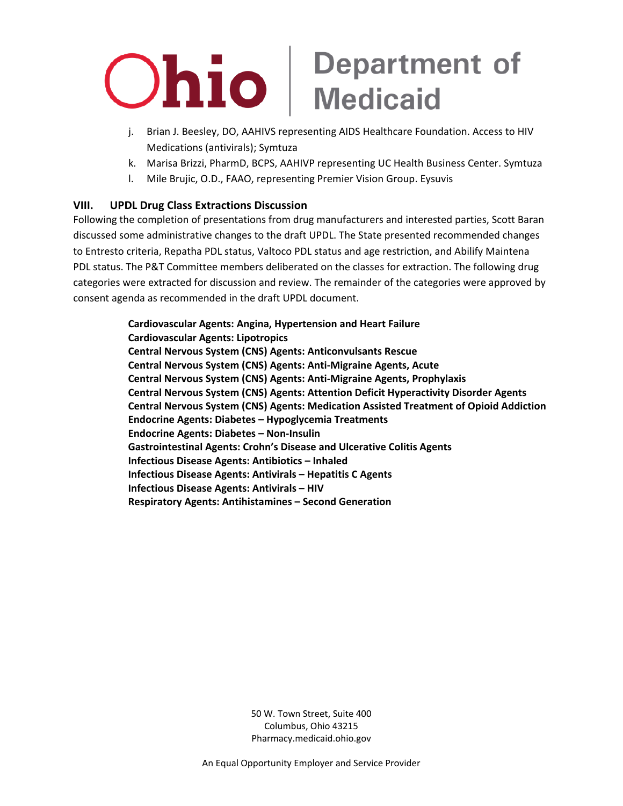- j. Brian J. Beesley, DO, AAHIVS representing AIDS Healthcare Foundation. Access to HIV Medications (antivirals); Symtuza
- k. Marisa Brizzi, PharmD, BCPS, AAHIVP representing UC Health Business Center. Symtuza
- l. Mile Brujic, O.D., FAAO, representing Premier Vision Group. Eysuvis

#### **VIII. UPDL Drug Class Extractions Discussion**

Following the completion of presentations from drug manufacturers and interested parties, Scott Baran discussed some administrative changes to the draft UPDL. The State presented recommended changes to Entresto criteria, Repatha PDL status, Valtoco PDL status and age restriction, and Abilify Maintena PDL status. The P&T Committee members deliberated on the classes for extraction. The following drug categories were extracted for discussion and review. The remainder of the categories were approved by consent agenda as recommended in the draft UPDL document.

> **Cardiovascular Agents: Angina, Hypertension and Heart Failure Cardiovascular Agents: Lipotropics Central Nervous System (CNS) Agents: Anticonvulsants Rescue Central Nervous System (CNS) Agents: Anti-Migraine Agents, Acute Central Nervous System (CNS) Agents: Anti-Migraine Agents, Prophylaxis Central Nervous System (CNS) Agents: Attention Deficit Hyperactivity Disorder Agents Central Nervous System (CNS) Agents: Medication Assisted Treatment of Opioid Addiction Endocrine Agents: Diabetes – Hypoglycemia Treatments Endocrine Agents: Diabetes – Non-Insulin Gastrointestinal Agents: Crohn's Disease and Ulcerative Colitis Agents Infectious Disease Agents: Antibiotics – Inhaled Infectious Disease Agents: Antivirals – Hepatitis C Agents Infectious Disease Agents: Antivirals – HIV Respiratory Agents: Antihistamines – Second Generation**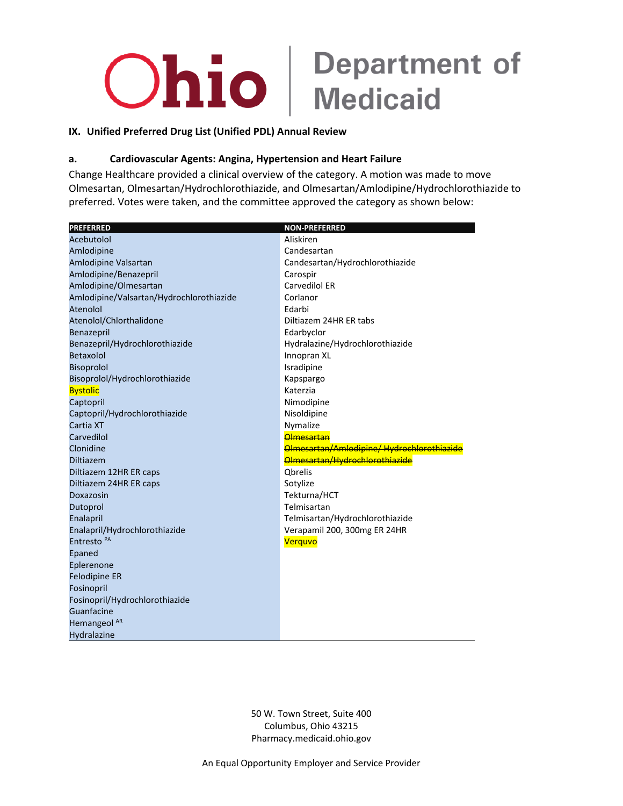#### IX. Unified Preferred Drug List (Unified PDL) Annual Review

#### Cardiovascular Agents: Angina, Hypertension and Heart Failure a.

Change Healthcare provided a clinical overview of the category. A motion was made to move Olmesartan, Olmesartan/Hydrochlorothiazide, and Olmesartan/Amlodipine/Hydrochlorothiazide to preferred. Votes were taken, and the committee approved the category as shown below:

| <b>PREFERRED</b>                         | <b>NON-PREFERRED</b>                       |
|------------------------------------------|--------------------------------------------|
| Acebutolol                               | Aliskiren                                  |
| Amlodipine                               | Candesartan                                |
| Amlodipine Valsartan                     | Candesartan/Hydrochlorothiazide            |
| Amlodipine/Benazepril                    | Carospir                                   |
| Amlodipine/Olmesartan                    | Carvedilol ER                              |
| Amlodipine/Valsartan/Hydrochlorothiazide | Corlanor                                   |
| Atenolol                                 | Edarbi                                     |
| Atenolol/Chlorthalidone                  | Diltiazem 24HR ER tabs                     |
| Benazepril                               | Edarbyclor                                 |
| Benazepril/Hydrochlorothiazide           | Hydralazine/Hydrochlorothiazide            |
| Betaxolol                                | Innopran XL                                |
| Bisoprolol                               | Isradipine                                 |
| Bisoprolol/Hydrochlorothiazide           | Kapspargo                                  |
| <b>Bystolic</b>                          | Katerzia                                   |
| Captopril                                | Nimodipine                                 |
| Captopril/Hydrochlorothiazide            | Nisoldipine                                |
| Cartia XT                                | Nymalize                                   |
| Carvedilol                               | <b>Olmesartan</b>                          |
| Clonidine                                | Olmesartan/Amlodipine/ Hydrochlorothiazide |
| <b>Diltiazem</b>                         | Olmesartan/Hydrochlorothiazide             |
| Diltiazem 12HR ER caps                   | <b>Obrelis</b>                             |
| Diltiazem 24HR ER caps                   | Sotylize                                   |
| Doxazosin                                | Tekturna/HCT                               |
| Dutoprol                                 | Telmisartan                                |
| Enalapril                                | Telmisartan/Hydrochlorothiazide            |
| Enalapril/Hydrochlorothiazide            | Verapamil 200, 300mg ER 24HR               |
| Entresto <sup>PA</sup>                   | Verquvo                                    |
| Epaned                                   |                                            |
| Eplerenone                               |                                            |
| <b>Felodipine ER</b>                     |                                            |
| Fosinopril                               |                                            |
| Fosinopril/Hydrochlorothiazide           |                                            |
| Guanfacine                               |                                            |
| Hemangeol <sup>AR</sup>                  |                                            |
| Hydralazine                              |                                            |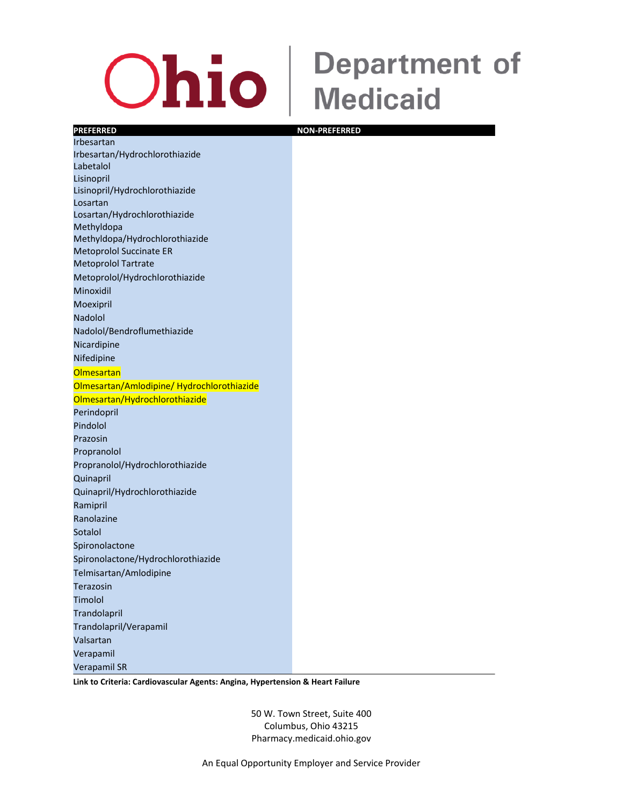### **Ohio**

### **Department of Medicaid**

#### **PREFERRED NON-PREFERRED** Irbesartan Irbesartan/Hydrochlorothiazide Labetalol Lisinopril Lisinopril/Hydrochlorothiazide Losartan Losartan/Hydrochlorothiazide Methyldopa Methyldopa/Hydrochlorothiazide Metoprolol Succinate ER Metoprolol Tartrate Metoprolol/Hydrochlorothiazide Minoxidil Moexipril Nadolol Nadolol/Bendroflumethiazide Nicardipine Nifedipine **Olmesartan** Olmesartan/Amlodipine/ Hydrochlorothiazide Olmesartan/Hydrochlorothiazide Perindopril Pindolol Prazosin Propranolol Propranolol/Hydrochlorothiazide Quinapril Quinapril/Hydrochlorothiazide Ramipril Ranolazine **Sotalol** Spironolactone Spironolactone/Hydrochlorothiazide Telmisartan/Amlodipine Terazosin Timolol **Trandolapril** Trandolapril/Verapamil Valsartan Verapamil Verapamil SR

**Link to Criteria: Cardiovascular Agents: Angina, Hypertension & Heart Failure**

50 W. Town Street, Suite 400 Columbus, Ohio 43215 Pharmacy.medicaid.ohio.gov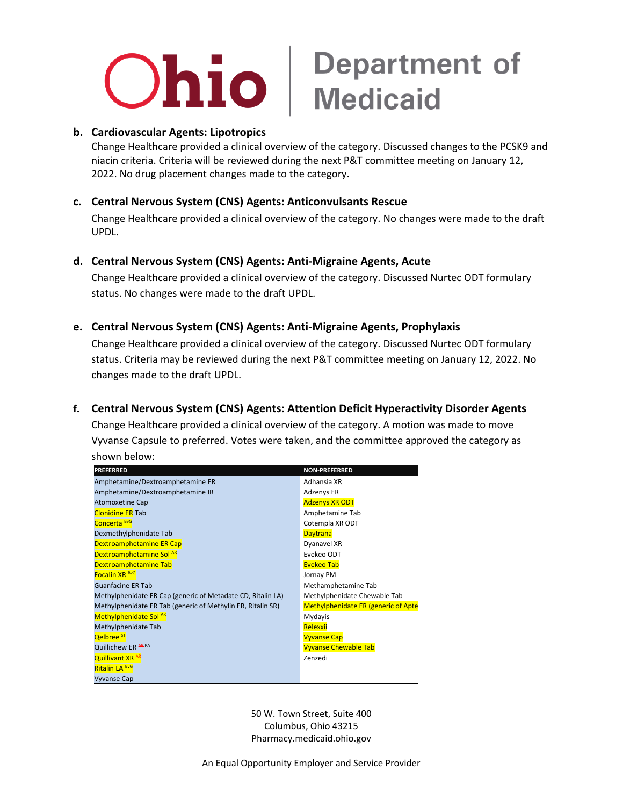

#### **b. Cardiovascular Agents: Lipotropics**

Change Healthcare provided a clinical overview of the category. Discussed changes to the PCSK9 and niacin criteria. Criteria will be reviewed during the next P&T committee meeting on January 12, 2022. No drug placement changes made to the category.

#### **c. Central Nervous System (CNS) Agents: Anticonvulsants Rescue**

Change Healthcare provided a clinical overview of the category. No changes were made to the draft UPDL.

#### **d. Central Nervous System (CNS) Agents: Anti-Migraine Agents, Acute**

Change Healthcare provided a clinical overview of the category. Discussed Nurtec ODT formulary status. No changes were made to the draft UPDL.

#### **e. Central Nervous System (CNS) Agents: Anti-Migraine Agents, Prophylaxis**

Change Healthcare provided a clinical overview of the category. Discussed Nurtec ODT formulary status. Criteria may be reviewed during the next P&T committee meeting on January 12, 2022. No changes made to the draft UPDL.

#### **f. Central Nervous System (CNS) Agents: Attention Deficit Hyperactivity Disorder Agents**

Change Healthcare provided a clinical overview of the category. A motion was made to move Vyvanse Capsule to preferred. Votes were taken, and the committee approved the category as shown below:

| <b>PREFERRED</b>                                            | <b>NON-PREFERRED</b>                       |
|-------------------------------------------------------------|--------------------------------------------|
| Amphetamine/Dextroamphetamine ER                            | Adhansia XR                                |
| Amphetamine/Dextroamphetamine IR                            | Adzenys ER                                 |
| <b>Atomoxetine Cap</b>                                      | <b>Adzenys XR ODT</b>                      |
| <b>Clonidine ER Tab</b>                                     | Amphetamine Tab                            |
| Concerta BvG                                                | Cotempla XR ODT                            |
| Dexmethylphenidate Tab                                      | <b>Daytrana</b>                            |
| Dextroamphetamine ER Cap                                    | Dyanavel XR                                |
| Dextroamphetamine Sol AR                                    | Evekeo ODT                                 |
| Dextroamphetamine Tab                                       | <b>Evekeo Tab</b>                          |
| <b>Focalin XR BvG</b>                                       | Jornay PM                                  |
| <b>Guanfacine ER Tab</b>                                    | Methamphetamine Tab                        |
| Methylphenidate ER Cap (generic of Metadate CD, Ritalin LA) | Methylphenidate Chewable Tab               |
| Methylphenidate ER Tab (generic of Methylin ER, Ritalin SR) | <b>Methylphenidate ER (generic of Apte</b> |
| Methylphenidate Sol AR                                      | Mydayis                                    |
| Methylphenidate Tab                                         | Relexxii                                   |
| <b>Qelbree</b> <sup>ST</sup>                                | <b>Wwanse Cap</b>                          |
| Quillichew ER ARPA                                          | <b>Vyvanse Chewable Tab</b>                |
| Quillivant XR <sup>AR</sup>                                 | Zenzedi                                    |
| Ritalin LA BvG                                              |                                            |
| <b>Vyvanse Cap</b>                                          |                                            |

50 W. Town Street, Suite 400 Columbus, Ohio 43215 Pharmacy.medicaid.ohio.gov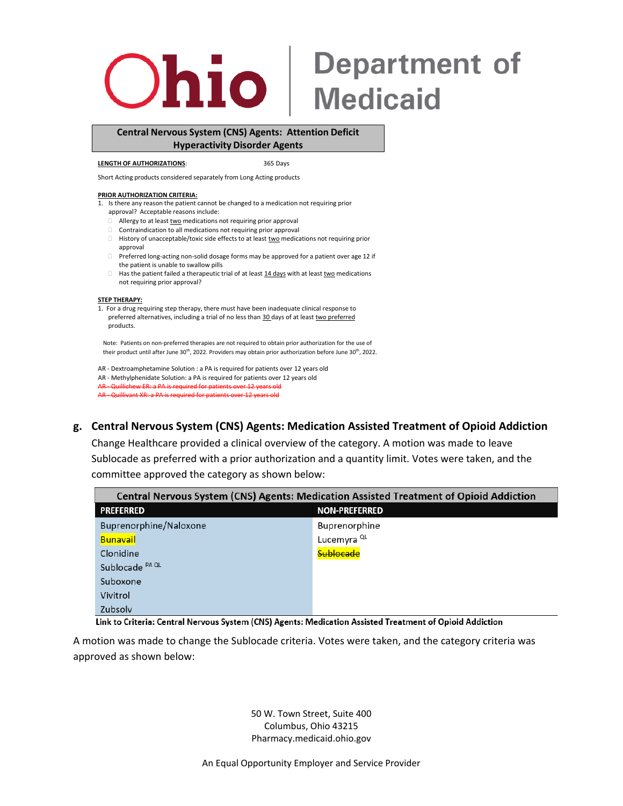

### **Department of Medicaid**

#### **Central Nervous System (CNS) Agents: Attention Deficit Hyperactivity Disorder Agents**

#### **LENGTH OF AUTHORIZATIONS**: 365 Days

Short Acting products considered separately from Long Acting products

#### **PRIOR AUTHORIZATION CRITERIA:**

- 1. Is there any reason the patient cannot be changed to a medication not requiring prior approval? Acceptable reasons include:
	- $\Box$  Allergy to at least two medications not requiring prior approval
	- Contraindication to all medications not requiring prior approval
	- **History of unacceptable/toxic side effects to at least two medications not requiring prior** approval
	- Preferred long-acting non-solid dosage forms may be approved for a patient over age 12 if the patient is unable to swallow pills
	- $\Box$  Has the patient failed a therapeutic trial of at least  $\underline{14}$  days with at least two medications not requiring prior approval?

#### **STEP THERAPY:**

1. For a drug requiring step therapy, there must have been inadequate clinical response to preferred alternatives, including a trial of no less than 30 days of at least two preferred products.

Note: Patients on non-preferred therapies are not required to obtain prior authorization for the use of their product until after June 30<sup>th</sup>, 2022. Providers may obtain prior authorization before June 30<sup>th</sup>, 2022.

AR - Dextroamphetamine Solution : a PA is required for patients over 12 years old

AR - Methylphenidate Solution: a PA is required for patients over 12 years old

AR - Quillichew ER: a PA is required for patients over 12 years old AR - Quillivant XR: a PA is required for patients over 12 years old

#### **g. Central Nervous System (CNS) Agents: Medication Assisted Treatment of Opioid Addiction**

Change Healthcare provided a clinical overview of the category. A motion was made to leave Sublocade as preferred with a prior authorization and a quantity limit. Votes were taken, and the committee approved the category as shown below:

| Central Nervous System (CNS) Agents: Medication Assisted Treatment of Opioid Addiction |                        |
|----------------------------------------------------------------------------------------|------------------------|
| <b>PREFERRED</b>                                                                       | <b>NON-PREFERRED</b>   |
| Buprenorphine/Naloxone                                                                 | Buprenorphine          |
| <b>Bunavail</b>                                                                        | Lucemyra <sup>QL</sup> |
| Clonidine                                                                              | <b>Sublocade</b>       |
| Sublocade <sup>PA QL</sup>                                                             |                        |
| Suboxone                                                                               |                        |
| Vivitrol                                                                               |                        |
| Zubsolv                                                                                |                        |

Link to Criteria: Central Nervous System (CNS) Agents: Medication Assisted Treatment of Opioid Addiction

A motion was made to change the Sublocade criteria. Votes were taken, and the category criteria was approved as shown below: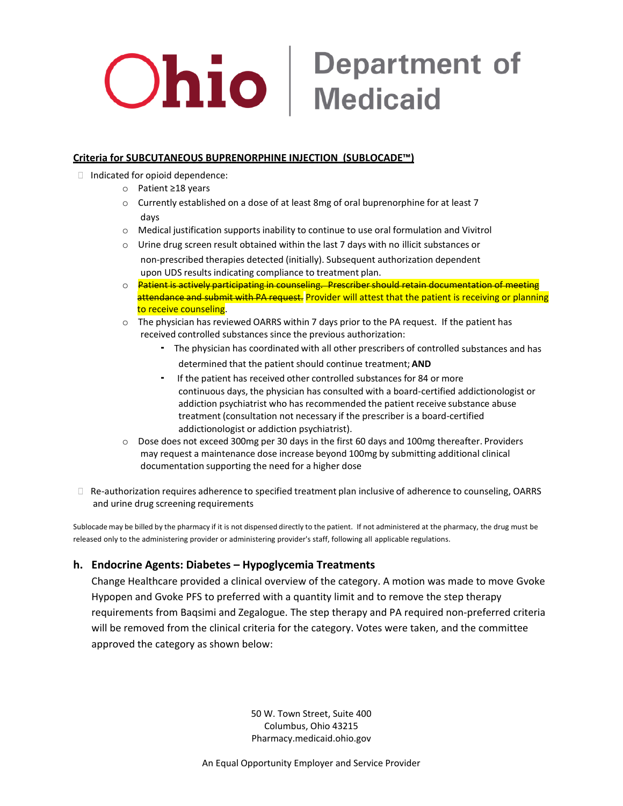# **Ohio** Medicaid

#### **Criteria for SUBCUTANEOUS BUPRENORPHINE INJECTION (SUBLOCADE™)**

- Indicated for opioid dependence:
	- o Patient ≥18 years
	- $\circ$  Currently established on a dose of at least 8mg of oral buprenorphine for at least 7 days
	- o Medical justification supports inability to continue to use oral formulation and Vivitrol
	- $\circ$  Urine drug screen result obtained within the last 7 days with no illicit substances or non-prescribed therapies detected (initially). Subsequent authorization dependent upon UDS results indicating compliance to treatment plan.
	- $\circ$  Patient is actively participating in counseling. Prescriber should retain documentation of meeting attendance and submit with PA request. Provider will attest that the patient is receiving or planning to receive counseling.
	- $\circ$  The physician has reviewed OARRS within 7 days prior to the PA request. If the patient has received controlled substances since the previous authorization:
		- The physician has coordinated with all other prescribers of controlled substances and has determined that the patient should continue treatment; **AND**
		- If the patient has received other controlled substances for <sup>84</sup> or more continuous days, the physician has consulted with a board-certified addictionologist or addiction psychiatrist who has recommended the patient receive substance abuse treatment (consultation not necessary if the prescriber is a board-certified addictionologist or addiction psychiatrist).
	- o Dose does not exceed 300mg per 30 days in the first 60 days and 100mg thereafter. Providers may request a maintenance dose increase beyond 100mg by submitting additional clinical documentation supporting the need for a higher dose
- Re-authorization requires adherence to specified treatment plan inclusive of adherence to counseling, OARRS and urine drug screening requirements

Sublocade may be billed by the pharmacy if it is not dispensed directly to the patient. If not administered at the pharmacy, the drug must be released only to the administering provider or administering provider's staff, following all applicable regulations.

#### **h. Endocrine Agents: Diabetes – Hypoglycemia Treatments**

Change Healthcare provided a clinical overview of the category. A motion was made to move Gvoke Hypopen and Gvoke PFS to preferred with a quantity limit and to remove the step therapy requirements from Baqsimi and Zegalogue. The step therapy and PA required non-preferred criteria will be removed from the clinical criteria for the category. Votes were taken, and the committee approved the category as shown below:

> 50 W. Town Street, Suite 400 Columbus, Ohio 43215 Pharmacy.medicaid.ohio.gov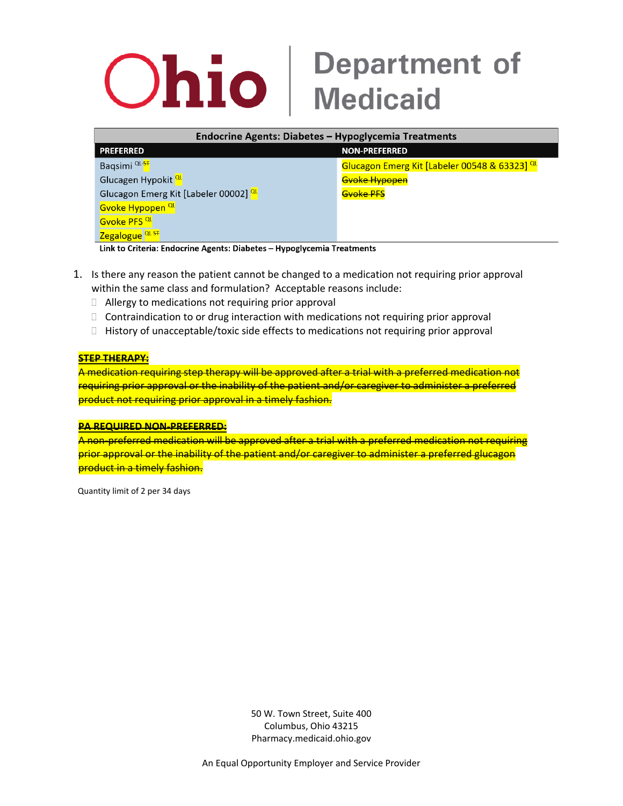| <b>Endocrine Agents: Diabetes - Hypoglycemia Treatments</b> |                                               |
|-------------------------------------------------------------|-----------------------------------------------|
| <b>PREFERRED</b>                                            | <b>NON-PREFERRED</b>                          |
| Baqsimi <sup>QL-ST</sup>                                    | Glucagon Emerg Kit [Labeler 00548 & 63323] QL |
| Glucagen Hypokit <sup>QL</sup>                              | <b>Gyoke Hypopen</b>                          |
| Glucagon Emerg Kit [Labeler 00002] QL                       | Gvoke PFS                                     |
| Gvoke Hypopen <sup>QL</sup>                                 |                                               |
| Gvoke PFS <sup>QL</sup>                                     |                                               |
| <b>Zegalogue</b> <sup>QL ST</sup><br>.                      |                                               |

Link to Criteria: Endocrine Agents: Diabetes - Hypoglycemia Treatments

- 1. Is there any reason the patient cannot be changed to a medication not requiring prior approval within the same class and formulation? Acceptable reasons include:
	- □ Allergy to medications not requiring prior approval
	- $\Box$  Contraindication to or drug interaction with medications not requiring prior approval
	- $\Box$  History of unacceptable/toxic side effects to medications not requiring prior approval

#### **STEP THERAPY:**

A medication requiring step therapy will be approved after a trial with a preferred medication not requiring prior approval or the inability of the patient and/or caregiver to administer a preferred product not requiring prior approval in a timely fashion.

#### **PA REQUIRED NON-PREFERRED:**

A non-preferred medication will be approved after a trial with a preferred medication not requiring prior approval or the inability of the patient and/or caregiver to administer a preferred glucagon product in a timely fashion.

Quantity limit of 2 per 34 days

50 W. Town Street, Suite 400 Columbus, Ohio 43215 Pharmacy.medicaid.ohio.gov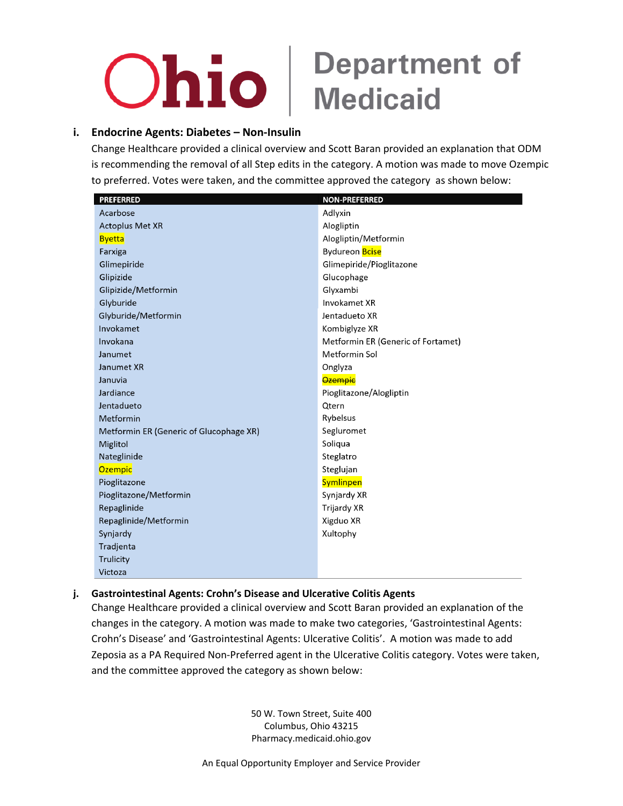### **i. Endocrine Agents: Diabetes – Non-Insulin**

Change Healthcare provided a clinical overview and Scott Baran provided an explanation that ODM is recommending the removal of all Step edits in the category. A motion was made to move Ozempic to preferred. Votes were taken, and the committee approved the category as shown below:

| <b>PREFERRED</b>                        | <b>NON-PREFERRED</b>               |
|-----------------------------------------|------------------------------------|
| Acarbose                                | Adlyxin                            |
| <b>Actoplus Met XR</b>                  | Alogliptin                         |
| <b>Byetta</b>                           | Alogliptin/Metformin               |
| Farxiga                                 | Bydureon <b>Bcise</b>              |
| Glimepiride                             | Glimepiride/Pioglitazone           |
| Glipizide                               | Glucophage                         |
| Glipizide/Metformin                     | Glyxambi                           |
| Glyburide                               | Invokamet XR                       |
| Glyburide/Metformin                     | Jentadueto XR                      |
| Invokamet                               | Kombiglyze XR                      |
| Invokana                                | Metformin ER (Generic of Fortamet) |
| Janumet                                 | Metformin Sol                      |
| Janumet XR                              | Onglyza                            |
| Januvia                                 | <b>Ozempic</b>                     |
| Jardiance                               | Pioglitazone/Alogliptin            |
| Jentadueto                              | Qtern                              |
| Metformin                               | Rybelsus                           |
| Metformin ER (Generic of Glucophage XR) | Segluromet                         |
| Miglitol                                | Soliqua                            |
| Nateglinide                             | Steglatro                          |
| <b>Ozempic</b>                          | Steglujan                          |
| Pioglitazone                            | <b>Symlinpen</b>                   |
| Pioglitazone/Metformin                  | Synjardy XR                        |
| Repaglinide                             | <b>Trijardy XR</b>                 |
| Repaglinide/Metformin                   | Xigduo XR                          |
| Synjardy                                | Xultophy                           |
| Tradjenta                               |                                    |
| Trulicity                               |                                    |
| Victoza                                 |                                    |

#### **j. Gastrointestinal Agents: Crohn's Disease and Ulcerative Colitis Agents**

Change Healthcare provided a clinical overview and Scott Baran provided an explanation of the changes in the category. A motion was made to make two categories, 'Gastrointestinal Agents: Crohn's Disease' and 'Gastrointestinal Agents: Ulcerative Colitis'. A motion was made to add Zeposia as a PA Required Non-Preferred agent in the Ulcerative Colitis category. Votes were taken, and the committee approved the category as shown below:

> 50 W. Town Street, Suite 400 Columbus, Ohio 43215 Pharmacy.medicaid.ohio.gov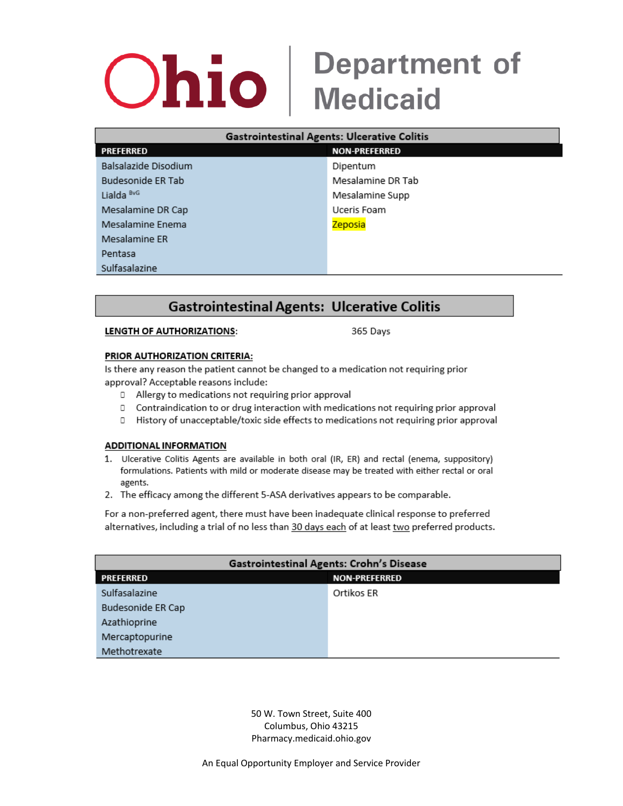### **Department of Ohio Medicaid**

| <b>Gastrointestinal Agents: Ulcerative Colitis</b> |                      |
|----------------------------------------------------|----------------------|
| <b>PREFERRED</b>                                   | <b>NON-PREFERRED</b> |
| Balsalazide Disodium                               | Dipentum             |
| Budesonide ER Tab                                  | Mesalamine DR Tab    |
| Lialda <sup>BvG</sup>                              | Mesalamine Supp      |
| Mesalamine DR Cap                                  | Uceris Foam          |
| Mesalamine Enema                                   | Zeposia              |
| Mesalamine ER                                      |                      |
| Pentasa                                            |                      |
| Sulfasalazine                                      |                      |

### **Gastrointestinal Agents: Ulcerative Colitis**

#### LENGTH OF AUTHORIZATIONS:

365 Days

#### PRIOR AUTHORIZATION CRITERIA:

Is there any reason the patient cannot be changed to a medication not requiring prior approval? Acceptable reasons include:

- □ Allergy to medications not requiring prior approval
- □ Contraindication to or drug interaction with medications not requiring prior approval
- D History of unacceptable/toxic side effects to medications not requiring prior approval

#### **ADDITIONAL INFORMATION**

- 1. Ulcerative Colitis Agents are available in both oral (IR, ER) and rectal (enema, suppository) formulations. Patients with mild or moderate disease may be treated with either rectal or oral agents.
- 2. The efficacy among the different 5-ASA derivatives appears to be comparable.

For a non-preferred agent, there must have been inadequate clinical response to preferred alternatives, including a trial of no less than 30 days each of at least two preferred products.

| Gastrointestinal Agents: Crohn's Disease |                      |
|------------------------------------------|----------------------|
| PREFERRED                                | <b>NON-PREFERRED</b> |
| Sulfasalazine                            | Ortikos ER           |
| Budesonide ER Cap                        |                      |
| Azathioprine                             |                      |
| Mercaptopurine                           |                      |
| Methotrexate                             |                      |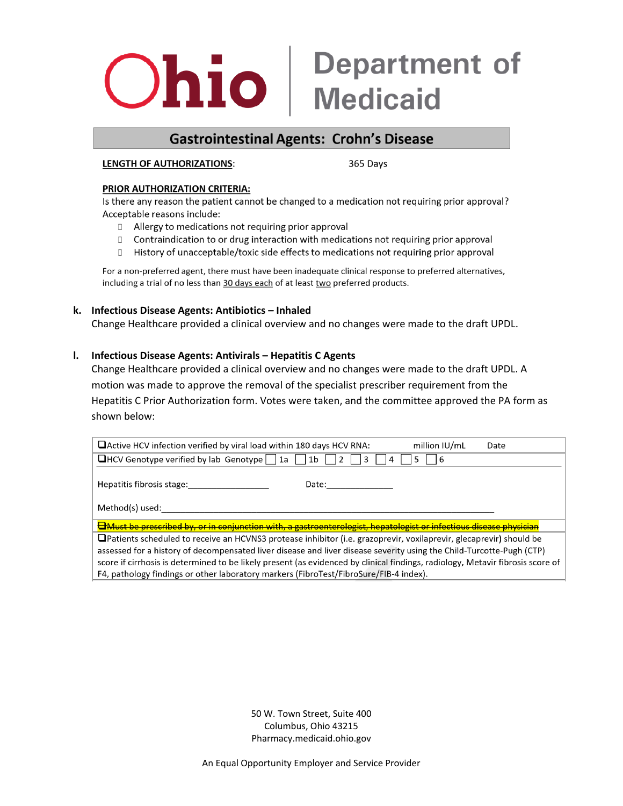### **Gastrointestinal Agents: Crohn's Disease**

#### **LENGTH OF AUTHORIZATIONS:**

365 Days

#### PRIOR AUTHORIZATION CRITERIA:

Is there any reason the patient cannot be changed to a medication not requiring prior approval? Acceptable reasons include:

- □ Allergy to medications not requiring prior approval
- □ Contraindication to or drug interaction with medications not requiring prior approval
- □ History of unacceptable/toxic side effects to medications not requiring prior approval

For a non-preferred agent, there must have been inadequate clinical response to preferred alternatives, including a trial of no less than 30 days each of at least two preferred products.

#### **k. Infectious Disease Agents: Antibiotics – Inhaled**

Change Healthcare provided a clinical overview and no changes were made to the draft UPDL.

#### **l. Infectious Disease Agents: Antivirals – Hepatitis C Agents**

Change Healthcare provided a clinical overview and no changes were made to the draft UPDL. A motion was made to approve the removal of the specialist prescriber requirement from the Hepatitis C Prior Authorization form. Votes were taken, and the committee approved the PA form as shown below:

| $\Box$ Active HCV infection verified by viral load within 180 days HCV RNA:<br>million IU/mL<br>Date                           |
|--------------------------------------------------------------------------------------------------------------------------------|
| $\Box$ HCV Genotype verified by lab Genotype     1a<br>1b<br>b                                                                 |
| Hepatitis fibrosis stage:<br>Date:                                                                                             |
| Method(s) used:                                                                                                                |
| Howest be prescribed by, or in conjunction with, a gastroenterologist, hepatologist or infectious disease physician            |
| $\Box$ Patients scheduled to receive an HCVNS3 protease inhibitor (i.e. grazoprevir, voxilaprevir, glecaprevir) should be      |
| assessed for a history of decompensated liver disease and liver disease severity using the Child-Turcotte-Pugh (CTP)           |
| score if cirrhosis is determined to be likely present (as evidenced by clinical findings, radiology, Metavir fibrosis score of |
| F4, pathology findings or other laboratory markers (FibroTest/FibroSure/FIB-4 index).                                          |

50 W. Town Street, Suite 400 Columbus, Ohio 43215 Pharmacy.medicaid.ohio.gov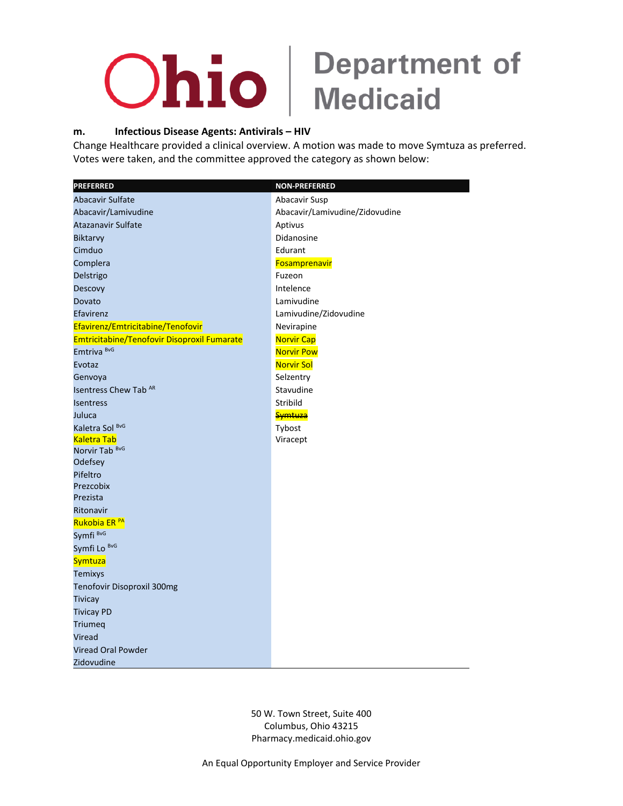

#### **m. Infectious Disease Agents: Antivirals – HIV**

Change Healthcare provided a clinical overview. A motion was made to move Symtuza as preferred. Votes were taken, and the committee approved the category as shown below:

| <b>PREFERRED</b>                            | <b>NON-PREFERRED</b>           |
|---------------------------------------------|--------------------------------|
| <b>Abacavir Sulfate</b>                     | Abacavir Susp                  |
| Abacavir/Lamivudine                         | Abacavir/Lamivudine/Zidovudine |
| Atazanavir Sulfate                          | Aptivus                        |
| Biktarvy                                    | Didanosine                     |
| Cimduo                                      | Edurant                        |
| Complera                                    | Fosamprenavir                  |
| Delstrigo                                   | Fuzeon                         |
| Descovy                                     | Intelence                      |
| Dovato                                      | Lamivudine                     |
| Efavirenz                                   | Lamivudine/Zidovudine          |
| Efavirenz/Emtricitabine/Tenofovir           | Nevirapine                     |
| Emtricitabine/Tenofovir Disoproxil Fumarate | <b>Norvir Cap</b>              |
| Emtriva <sup>BvG</sup>                      | <b>Norvir Pow</b>              |
| Evotaz                                      | <b>Norvir Sol</b>              |
| Genvoya                                     | Selzentry                      |
| Isentress Chew Tab AR                       | Stavudine                      |
| <b>Isentress</b>                            | Stribild                       |
| Juluca                                      | <b>Symtuza</b>                 |
| Kaletra Sol BvG                             | Tybost                         |
| <b>Kaletra Tab</b>                          | Viracept                       |
| Norvir Tab <sup>BvG</sup>                   |                                |
| Odefsey                                     |                                |
| Pifeltro                                    |                                |
| Prezcobix<br>Prezista                       |                                |
| Ritonavir                                   |                                |
| Rukobia ER <sup>PA</sup>                    |                                |
| Symfi <sup>BvG</sup>                        |                                |
| Symfi Lo BvG                                |                                |
| Symtuza                                     |                                |
| <b>Temixys</b>                              |                                |
| Tenofovir Disoproxil 300mg                  |                                |
| <b>Tivicay</b>                              |                                |
| <b>Tivicay PD</b>                           |                                |
| Triumeq                                     |                                |
| Viread                                      |                                |
| <b>Viread Oral Powder</b>                   |                                |
| Zidovudine                                  |                                |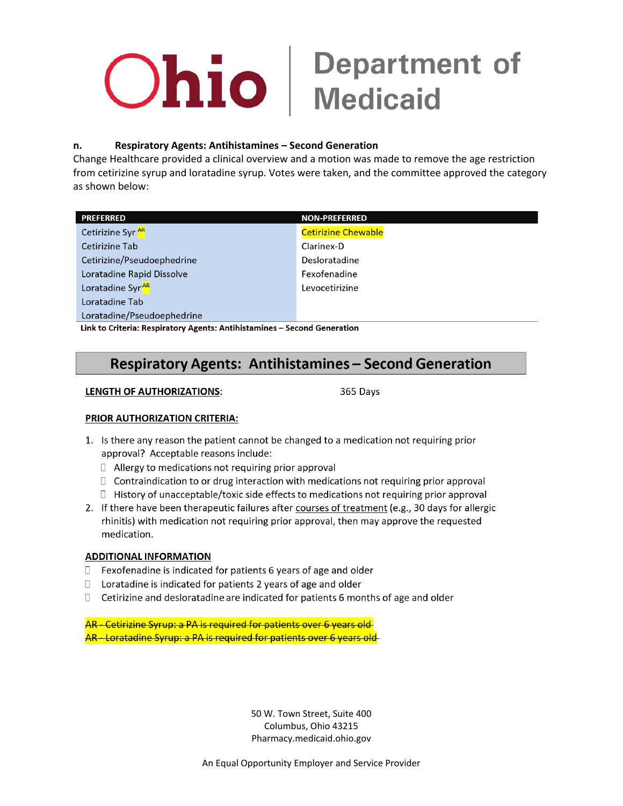# **Ohio** | Department of

#### Respiratory Agents: Antihistamines - Second Generation n.

Change Healthcare provided a clinical overview and a motion was made to remove the age restriction from cetirizine syrup and loratadine syrup. Votes were taken, and the committee approved the category as shown below:

| <b>PREFERRED</b>                                                         | <b>NON-PREFERRED</b>       |
|--------------------------------------------------------------------------|----------------------------|
| Cetirizine Syr <sup>AR</sup>                                             | <b>Cetirizine Chewable</b> |
| <b>Cetirizine Tab</b>                                                    | Clarinex-D                 |
| Cetirizine/Pseudoephedrine                                               | Desloratadine              |
| Loratadine Rapid Dissolve                                                | Fexofenadine               |
| Loratadine Syr <sup>AR</sup>                                             | Levocetirizine             |
| Loratadine Tab                                                           |                            |
| Loratadine/Pseudoephedrine                                               |                            |
| Haleta Calteria: Bernbetom: Agenta: Antibiotecnines - Cessord Cananetian |                            |

Link to Criteria: Respiratory Agents: Antihistamines – Second Generation

### **Respiratory Agents: Antihistamines - Second Generation**

#### **LENGTH OF AUTHORIZATIONS:**

365 Days

#### PRIOR AUTHORIZATION CRITERIA:

- 1. Is there any reason the patient cannot be changed to a medication not requiring prior approval? Acceptable reasons include:
	- $\Box$  Allergy to medications not requiring prior approval
	- □ Contraindication to or drug interaction with medications not requiring prior approval
	- $\Box$  History of unacceptable/toxic side effects to medications not requiring prior approval
- 2. If there have been therapeutic failures after courses of treatment (e.g., 30 days for allergic rhinitis) with medication not requiring prior approval, then may approve the requested medication.

#### **ADDITIONAL INFORMATION**

- Fexofenadine is indicated for patients 6 years of age and older  $\Box$
- $\Box$  Loratadine is indicated for patients 2 years of age and older
- $\Box$ Cetirizine and desloratadine are indicated for patients 6 months of age and older

AR - Cetirizine Syrup: a PA is required for patients over 6 years old AR - Loratadine Syrup: a PA is required for patients over 6 years old

> 50 W. Town Street, Suite 400 Columbus, Ohio 43215 Pharmacy.medicaid.ohio.gov